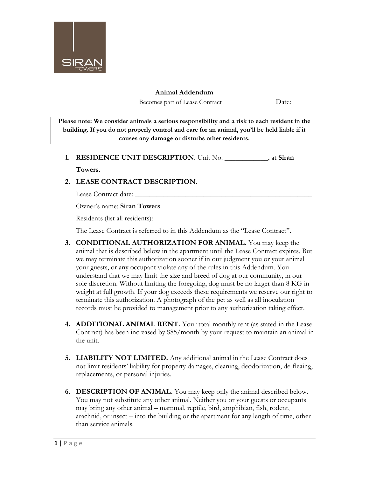

## **Animal Addendum**

Becomes part of Lease Contract Date:

**Please note: We consider animals a serious responsibility and a risk to each resident in the building. If you do not properly control and care for an animal, you'll be held liable if it causes any damage or disturbs other residents.**

## **1. RESIDENCE UNIT DESCRIPTION.** Unit No. \_\_\_\_\_\_\_\_\_\_\_\_, at **Siran**

## **Towers.**

## **2. LEASE CONTRACT DESCRIPTION.**

Lease Contract date: \_\_\_\_\_\_\_\_\_\_\_\_\_\_\_\_\_\_\_\_\_\_\_\_\_\_\_\_\_\_\_\_\_\_\_\_\_\_\_\_\_\_\_\_\_\_\_\_\_

Owner's name: **Siran Towers**

Residents (list all residents): \_\_\_\_\_\_\_\_\_\_\_\_\_\_\_\_\_\_\_\_\_\_\_\_\_\_\_\_\_\_\_\_\_\_\_\_\_\_\_\_\_\_\_\_

The Lease Contract is referred to in this Addendum as the "Lease Contract".

- **3. CONDITIONAL AUTHORIZATION FOR ANIMAL.** You may keep the animal that is described below in the apartment until the Lease Contract expires. But we may terminate this authorization sooner if in our judgment you or your animal your guests, or any occupant violate any of the rules in this Addendum. You understand that we may limit the size and breed of dog at our community, in our sole discretion. Without limiting the foregoing, dog must be no larger than 8 KG in weight at full growth. If your dog exceeds these requirements we reserve our right to terminate this authorization. A photograph of the pet as well as all inoculation records must be provided to management prior to any authorization taking effect.
- **4. ADDITIONAL ANIMAL RENT.** Your total monthly rent (as stated in the Lease Contract) has been increased by \$85/month by your request to maintain an animal in the unit.
- **5. LIABILITY NOT LIMITED.** Any additional animal in the Lease Contract does not limit residents' liability for property damages, cleaning, deodorization, de-fleaing, replacements, or personal injuries.
- **6. DESCRIPTION OF ANIMAL.** You may keep only the animal described below. You may not substitute any other animal. Neither you or your guests or occupants may bring any other animal – mammal, reptile, bird, amphibian, fish, rodent, arachnid, or insect – into the building or the apartment for any length of time, other than service animals.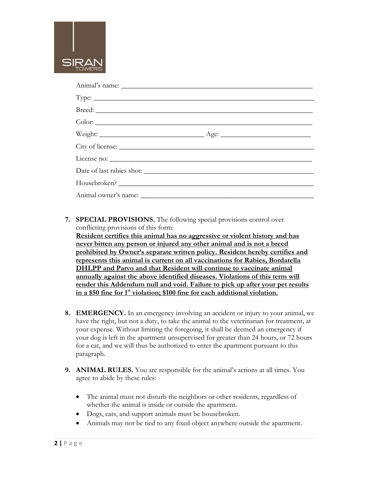

| Housebroken? |  |
|--------------|--|
|              |  |

**7. SPECIAL PROVISIONS.** The following special provisions control over conflicting provisions of this form:

**Resident certifies this animal has no aggressive or violent history and has never bitten any person or injured any other animal and is not a breed prohibited by Owner's separate written policy. Resident hereby certifies and represents this animal is current on all vaccinations for Rabies, Bordatella DHLPP and Parvo and that Resident will continue to vaccinate animal annually against the above identified diseases. Violations of this term will render this Addendum null and void. Failure to pick up after your pet results in a \$50 fine for 1st violation; \$100 fine for each additional violation.**

- **8. EMERGENCY.** In an emergency involving an accident or injury to your animal, we have the right, but not a duty, to take the animal to the veterinarian for treatment, at your expense. Without limiting the foregoing, it shall be deemed an emergency if your dog is left in the apartment unsupervised for greater than 24 hours, or 72 hours for a cat, and we will thus be authorized to enter the apartment pursuant to this paragraph.
- **9. ANIMAL RULES.** You are responsible for the animal's actions at all times. You agree to abide by these rules:
	- The animal must not disturb the neighbors or other residents, regardless of whether the animal is inside or outside the apartment.
	- Dogs, cats, and support animals must be housebroken.
	- Animals may not be tied to any fixed object anywhere outside the apartment.